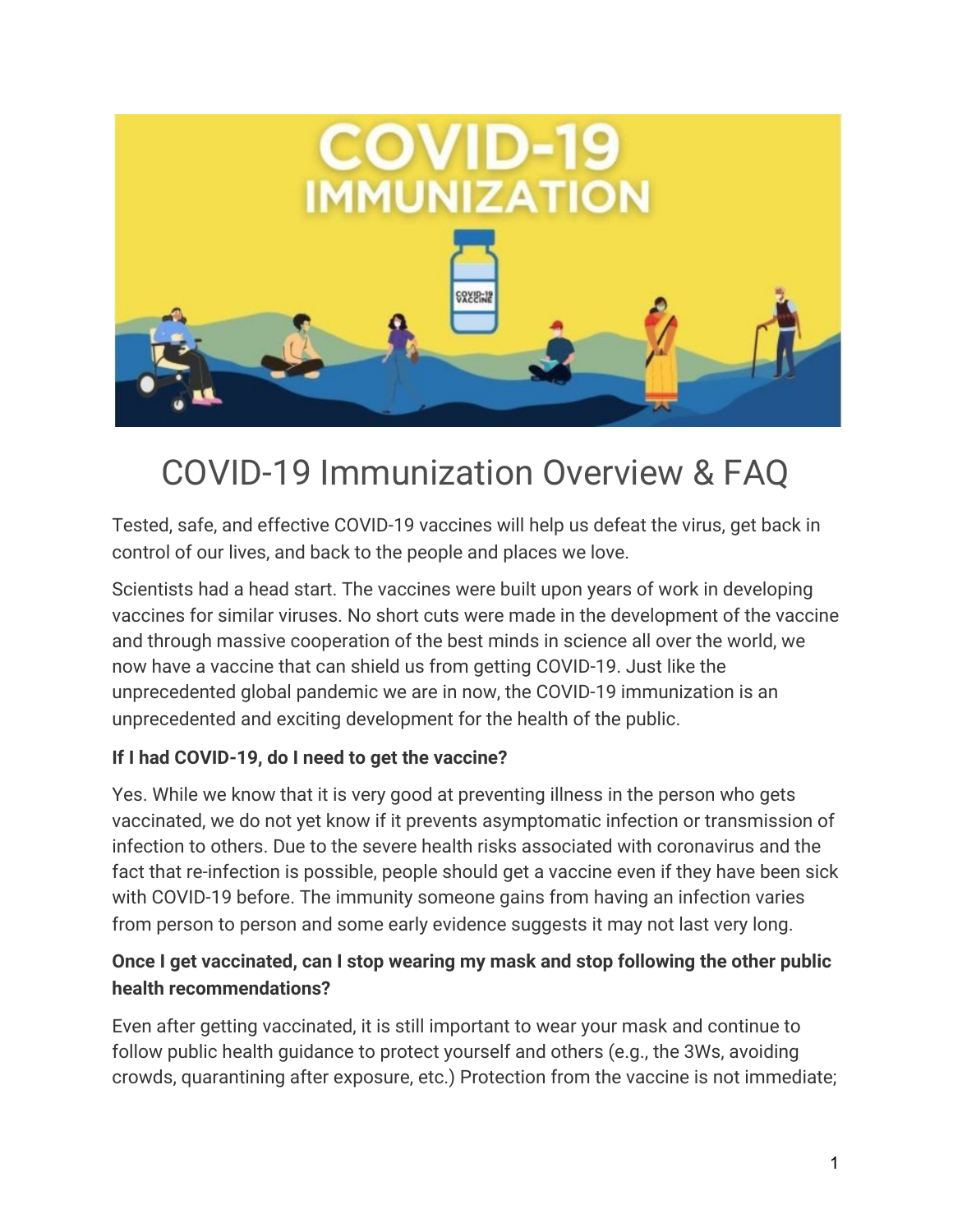

# COVID-19 Immunization Overview & FAQ

Tested, safe, and effective COVID-19 vaccines will help us defeat the virus, get back in control of our lives, and back to the people and places we love.

Scientists had a head start. The vaccines were built upon years of work in developing vaccines for similar viruses. No short cuts were made in the development of the vaccine and through massive cooperation of the best minds in science all over the world, we now have a vaccine that can shield us from getting COVID-19. Just like the unprecedented global pandemic we are in now, the COVID-19 immunization is an unprecedented and exciting development for the health of the public.

### **If I had COVID-19, do I need to get the vaccine?**

Yes. While we know that it is very good at preventing illness in the person who gets vaccinated, we do not yet know if it prevents asymptomatic infection or transmission of infection to others. Due to the severe health risks associated with coronavirus and the fact that re-infection is possible, people should get a vaccine even if they have been sick with COVID-19 before. The immunity someone gains from having an infection varies from person to person and some early evidence suggests it may not last very long.

### **Once I get vaccinated, can I stop wearing my mask and stop following the other public health recommendations?**

Even after getting vaccinated, it is still important to wear your mask and continue to follow public health guidance to protect yourself and others (e.g., the 3Ws, avoiding crowds, quarantining after exposure, etc.) Protection from the vaccine is not immediate;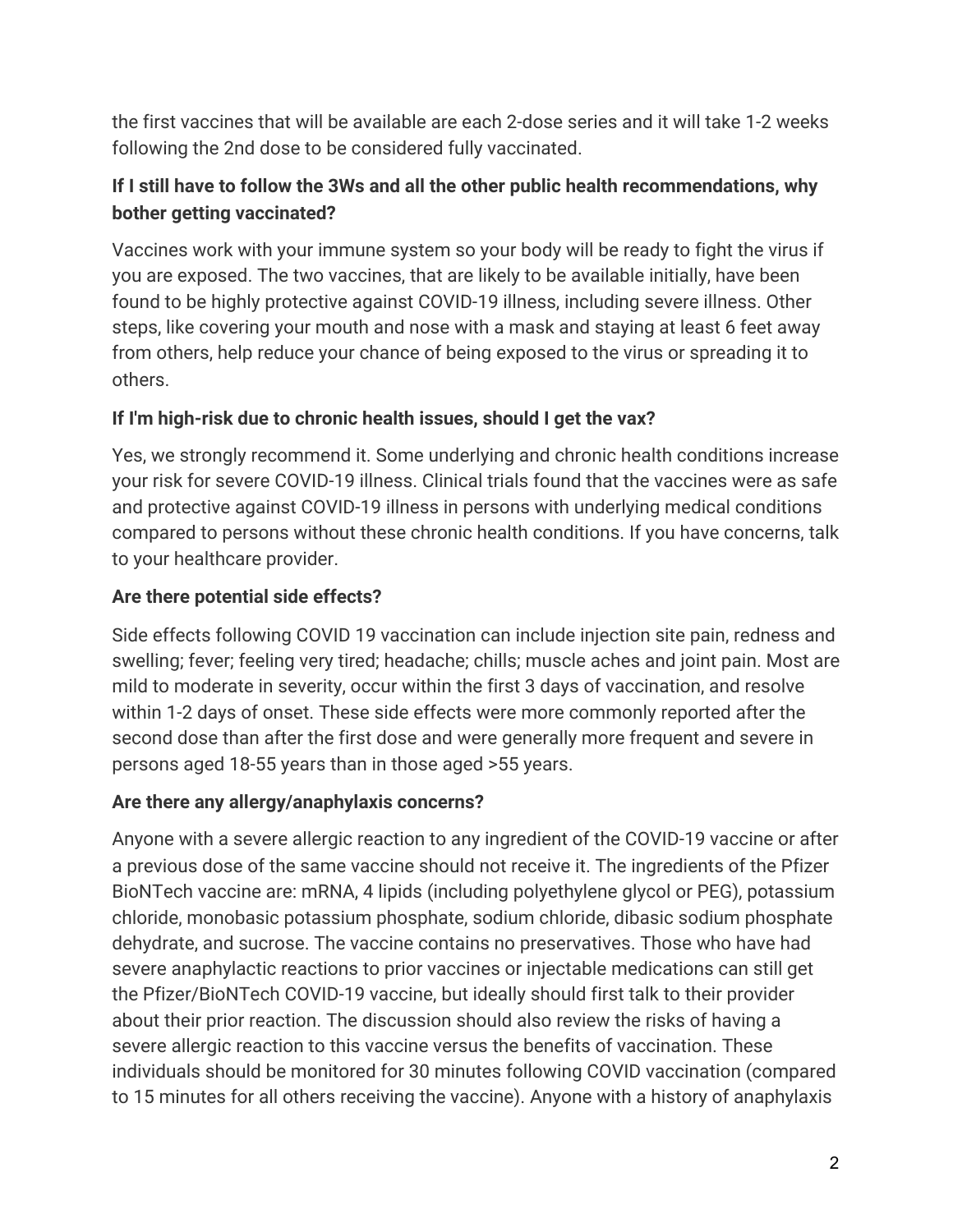the first vaccines that will be available are each 2-dose series and it will take 1-2 weeks following the 2nd dose to be considered fully vaccinated.

# **If I still have to follow the 3Ws and all the other public health recommendations, why bother getting vaccinated?**

Vaccines work with your immune system so your body will be ready to fight the virus if you are exposed. The two vaccines, that are likely to be available initially, have been found to be highly protective against COVID-19 illness, including severe illness. Other steps, like covering your mouth and nose with a mask and staying at least 6 feet away from others, help reduce your chance of being exposed to the virus or spreading it to others.

## **If I'm high-risk due to chronic health issues, should I get the vax?**

Yes, we strongly recommend it. Some underlying and chronic health conditions increase your risk for severe COVID-19 illness. Clinical trials found that the vaccines were as safe and protective against COVID-19 illness in persons with underlying medical conditions compared to persons without these chronic health conditions. If you have concerns, talk to your healthcare provider.

# **Are there potential side effects?**

Side effects following COVID 19 vaccination can include injection site pain, redness and swelling; fever; feeling very tired; headache; chills; muscle aches and joint pain. Most are mild to moderate in severity, occur within the first 3 days of vaccination, and resolve within 1-2 days of onset. These side effects were more commonly reported after the second dose than after the first dose and were generally more frequent and severe in persons aged 18-55 years than in those aged >55 years.

## **Are there any allergy/anaphylaxis concerns?**

Anyone with a severe allergic reaction to any ingredient of the COVID-19 vaccine or after a previous dose of the same vaccine should not receive it. The ingredients of the Pfizer BioNTech vaccine are: mRNA, 4 lipids (including polyethylene glycol or PEG), potassium chloride, monobasic potassium phosphate, sodium chloride, dibasic sodium phosphate dehydrate, and sucrose. The vaccine contains no preservatives. Those who have had severe anaphylactic reactions to prior vaccines or injectable medications can still get the Pfizer/BioNTech COVID-19 vaccine, but ideally should first talk to their provider about their prior reaction. The discussion should also review the risks of having a severe allergic reaction to this vaccine versus the benefits of vaccination. These individuals should be monitored for 30 minutes following COVID vaccination (compared to 15 minutes for all others receiving the vaccine). Anyone with a history of anaphylaxis